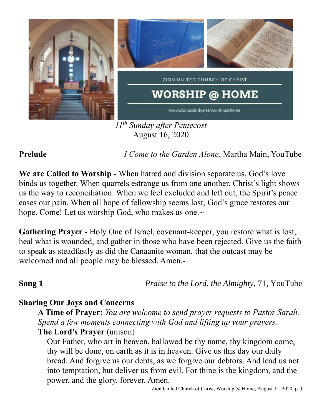

*11 th Sunday after Pentecost* August 16, 2020

**Prelude** *I Come to the Garden Alone*, Martha Main, YouTube

**We are Called to Worship -** When hatred and division separate us, God's love binds us together. When quarrels estrange us from one another, Christ's light shows us the way to reconciliation. When we feel excluded and left out, the Spirit's peace eases our pain. When all hope of fellowship seems lost, God's grace restores our hope. Come! Let us worship God, who makes us one.~

**Gathering Prayer** - Holy One of Israel, covenant-keeper, you restore what is lost, heal what is wounded, and gather in those who have been rejected. Give us the faith to speak as steadfastly as did the Canaanite woman, that the outcast may be welcomed and all people may be blessed. Amen.-

**Song 1** *Praise to the Lord, the Almighty,* 71, YouTube

## **Sharing Our Joys and Concerns**

**A Time of Prayer:** *You are welcome to send prayer requests to Pastor Sarah. Spend a few moments connecting with God and lifting up your prayers.*

**The Lord's Prayer** (unison) Our Father, who art in heaven, hallowed be thy name, thy kingdom come,

thy will be done, on earth as it is in heaven. Give us this day our daily bread. And forgive us our debts, as we forgive our debtors. And lead us not into temptation, but deliver us from evil. For thine is the kingdom, and the power, and the glory, forever. Amen.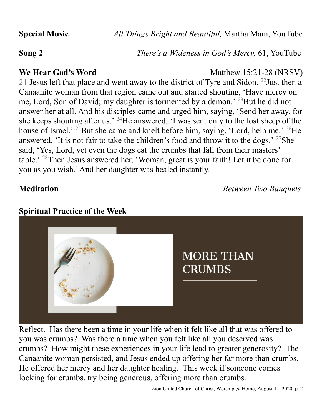**Special Music** *All Things Bright and Beautiful,* Martha Main, YouTube

**Song 2** *There's a Wideness in God's Mercy,* 61, YouTube

**We Hear God's Word** Matthew 15:21-28 (NRSV) 21 Jesus left that place and went away to the district of Tyre and Sidon.  $^{22}$ Just then a Canaanite woman from that region came out and started shouting, 'Have mercy on me, Lord, Son of David; my daughter is tormented by a demon.' <sup>23</sup>But he did not answer her at all. And his disciples came and urged him, saying, 'Send her away, for she keeps shouting after us.'  $^{24}$ He answered, 'I was sent only to the lost sheep of the house of Israel.' <sup>25</sup>But she came and knelt before him, saying, 'Lord, help me.' <sup>26</sup>He answered, 'It is not fair to take the children's food and throw it to the dogs.' <sup>27</sup>She said, 'Yes, Lord, yet even the dogs eat the crumbs that fall from their masters' table.' <sup>28</sup>Then Jesus answered her, 'Woman, great is your faith! Let it be done for you as you wish.' And her daughter was healed instantly.

**Meditation** *Between Two Banquets*



Reflect. Has there been a time in your life when it felt like all that was offered to you was crumbs? Was there a time when you felt like all you deserved was crumbs? How might these experiences in your life lead to greater generosity? The Canaanite woman persisted, and Jesus ended up offering her far more than crumbs. He offered her mercy and her daughter healing. This week if someone comes looking for crumbs, try being generous, offering more than crumbs.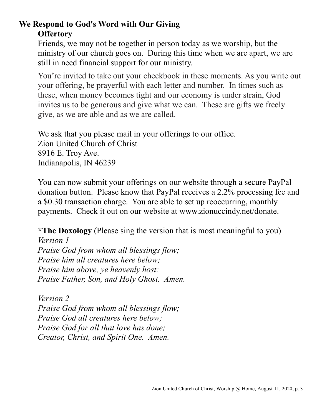# **We Respond to God's Word with Our Giving Offertory**

Friends, we may not be together in person today as we worship, but the ministry of our church goes on. During this time when we are apart, we are still in need financial support for our ministry.

You're invited to take out your checkbook in these moments. As you write out your offering, be prayerful with each letter and number. In times such as these, when money becomes tight and our economy is under strain, God invites us to be generous and give what we can. These are gifts we freely give, as we are able and as we are called.

We ask that you please mail in your offerings to our office. Zion United Church of Christ 8916 E. Troy Ave. Indianapolis, IN 46239

You can now submit your offerings on our website through a secure PayPal donation button. Please know that PayPal receives a 2.2% processing fee and a \$0.30 transaction charge. You are able to set up reoccurring, monthly payments. Check it out on our website at www.zionuccindy.net/donate.

**\*The Doxology** (Please sing the version that is most meaningful to you)

*Version 1 Praise God from whom all blessings flow; Praise him all creatures here below; Praise him above, ye heavenly host: Praise Father, Son, and Holy Ghost. Amen.*

*Version 2 Praise God from whom all blessings flow; Praise God all creatures here below; Praise God for all that love has done; Creator, Christ, and Spirit One. Amen.*